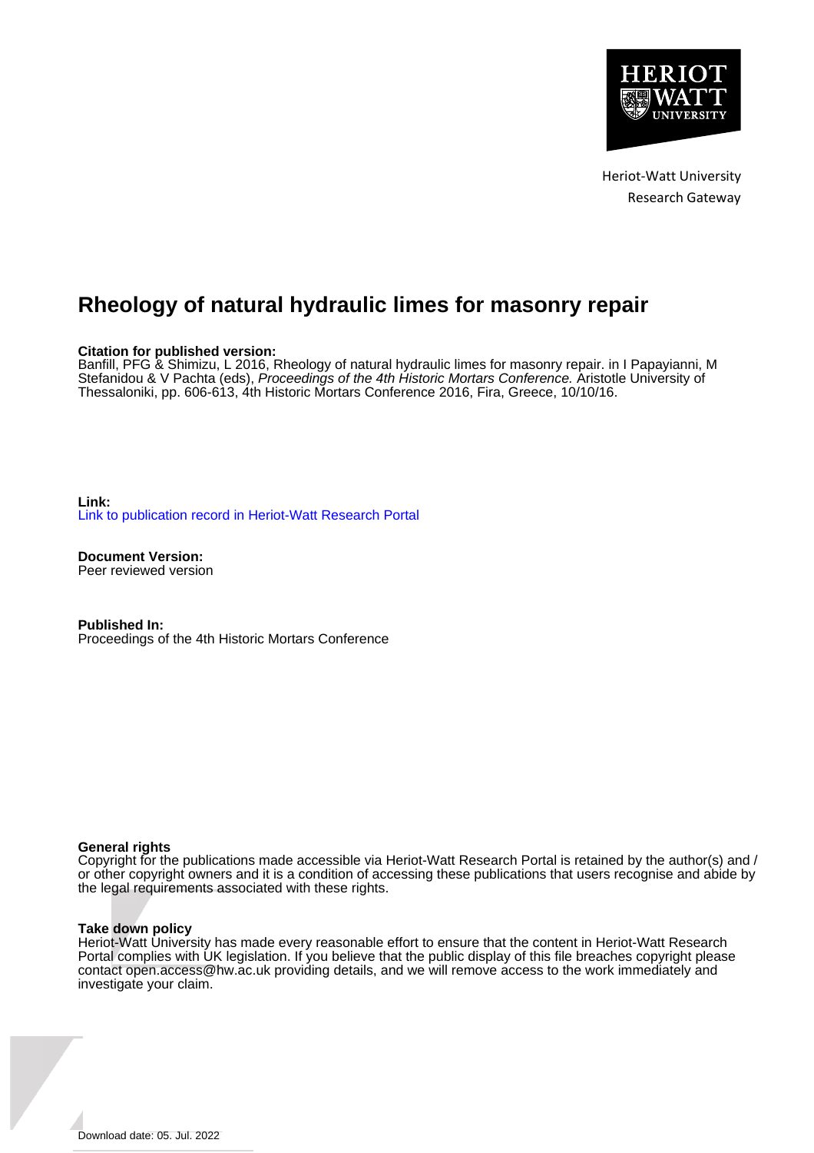

# **Rheology of natural hydraulic limes for masonry repair**

## **Citation for published version:**

Banfill, PFG & Shimizu, L 2016, Rheology of natural hydraulic limes for masonry repair. in I Papayianni, M Stefanidou & V Pachta (eds), Proceedings of the 4th Historic Mortars Conference. Aristotle University of Thessaloniki, pp. 606-613, 4th Historic Mortars Conference 2016, Fira, Greece, 10/10/16.

**Link:** [Link to publication record in Heriot-Watt Research Portal](https://researchportal.hw.ac.uk/en/publications/181c341c-6ce5-4510-b78b-c46fbe893d17)

**Document Version:** Peer reviewed version

**Published In:** Proceedings of the 4th Historic Mortars Conference

#### **General rights**

Copyright for the publications made accessible via Heriot-Watt Research Portal is retained by the author(s) and / or other copyright owners and it is a condition of accessing these publications that users recognise and abide by the legal requirements associated with these rights.

#### **Take down policy**

Heriot-Watt University has made every reasonable effort to ensure that the content in Heriot-Watt Research Portal complies with UK legislation. If you believe that the public display of this file breaches copyright please contact open.access@hw.ac.uk providing details, and we will remove access to the work immediately and investigate your claim.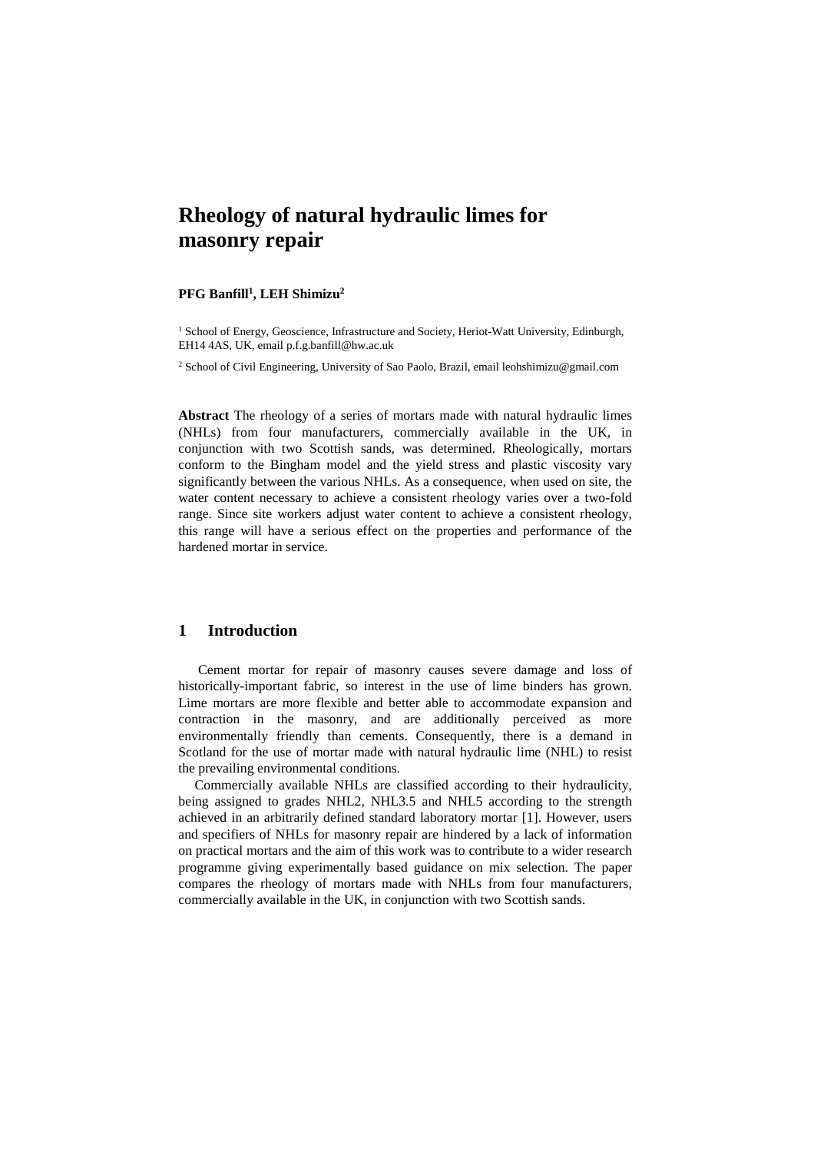## **Rheology of natural hydraulic limes for masonry repair**

#### **PFG Banfill<sup>1</sup> , LEH Shimizu<sup>2</sup>**

<sup>1</sup> School of Energy, Geoscience, Infrastructure and Society, Heriot-Watt University, Edinburgh, EH14 4AS, UK, email p.f.g.banfill@hw.ac.uk

<sup>2</sup> School of Civil Engineering, University of Sao Paolo, Brazil, email leohshimizu@gmail.com

**Abstract** The rheology of a series of mortars made with natural hydraulic limes (NHLs) from four manufacturers, commercially available in the UK, in conjunction with two Scottish sands, was determined. Rheologically, mortars conform to the Bingham model and the yield stress and plastic viscosity vary significantly between the various NHLs. As a consequence, when used on site, the water content necessary to achieve a consistent rheology varies over a two-fold range. Since site workers adjust water content to achieve a consistent rheology, this range will have a serious effect on the properties and performance of the hardened mortar in service.

#### **1 Introduction**

 Cement mortar for repair of masonry causes severe damage and loss of historically-important fabric, so interest in the use of lime binders has grown. Lime mortars are more flexible and better able to accommodate expansion and contraction in the masonry, and are additionally perceived as more environmentally friendly than cements. Consequently, there is a demand in Scotland for the use of mortar made with natural hydraulic lime (NHL) to resist the prevailing environmental conditions.

Commercially available NHLs are classified according to their hydraulicity, being assigned to grades NHL2, NHL3.5 and NHL5 according to the strength achieved in an arbitrarily defined standard laboratory mortar [1]. However, users and specifiers of NHLs for masonry repair are hindered by a lack of information on practical mortars and the aim of this work was to contribute to a wider research programme giving experimentally based guidance on mix selection. The paper compares the rheology of mortars made with NHLs from four manufacturers, commercially available in the UK, in conjunction with two Scottish sands.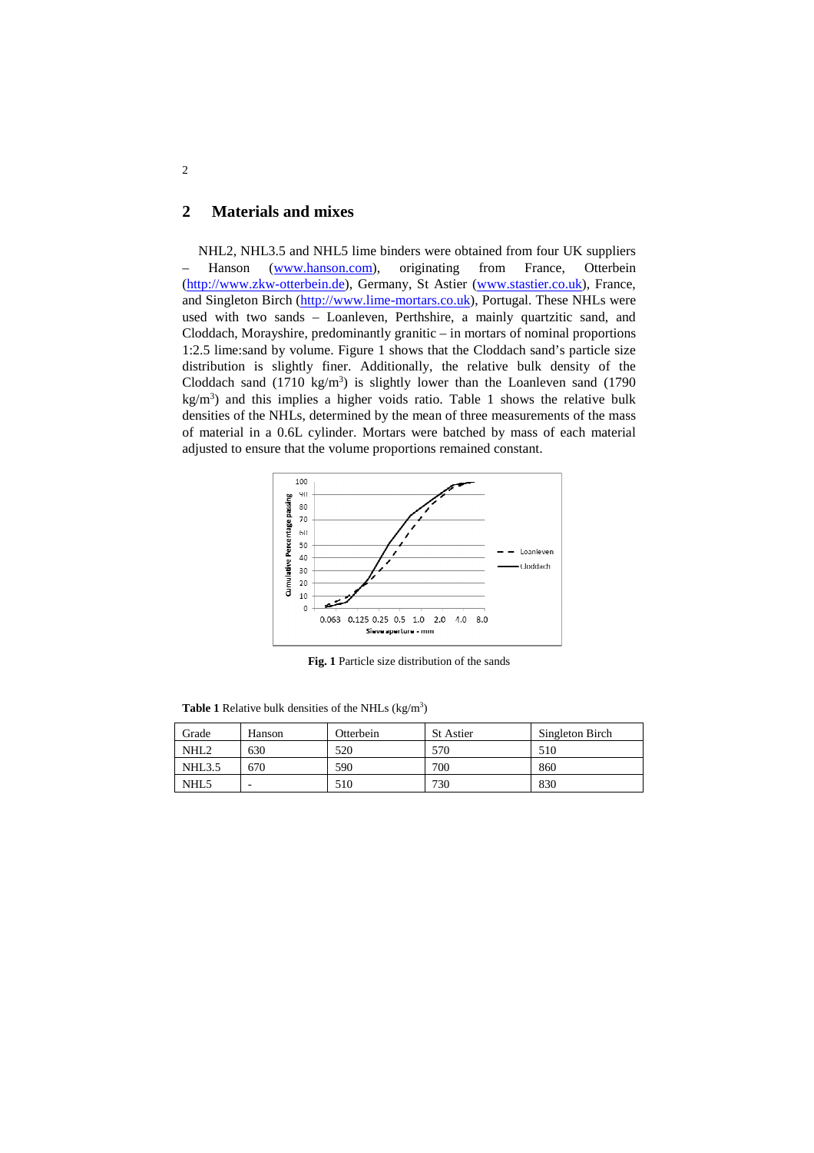## **2 Materials and mixes**

NHL2, NHL3.5 and NHL5 lime binders were obtained from four UK suppliers Hanson (www.hanson.com), originating from France, Otterbein (http://www.zkw-otterbein.de), Germany, St Astier (www.stastier.co.uk), France, and Singleton Birch (http://www.lime-mortars.co.uk), Portugal. These NHLs were used with two sands – Loanleven, Perthshire, a mainly quartzitic sand, and Cloddach, Morayshire, predominantly granitic – in mortars of nominal proportions 1:2.5 lime:sand by volume. Figure 1 shows that the Cloddach sand's particle size distribution is slightly finer. Additionally, the relative bulk density of the Cloddach sand  $(1710 \text{ kg/m}^3)$  is slightly lower than the Loanleven sand  $(1790 \text{ m})$ kg/m<sup>3</sup> ) and this implies a higher voids ratio. Table 1 shows the relative bulk densities of the NHLs, determined by the mean of three measurements of the mass of material in a 0.6L cylinder. Mortars were batched by mass of each material adjusted to ensure that the volume proportions remained constant.



**Fig. 1** Particle size distribution of the sands

**Table 1** Relative bulk densities of the NHLs  $(kg/m<sup>3</sup>)$ 

| Grade            | Hanson | Otterbein | <b>St Astier</b> | Singleton Birch |
|------------------|--------|-----------|------------------|-----------------|
| NHL <sub>2</sub> | 630    | 520       | 570              | 510             |
| <b>NHL3.5</b>    | 670    | 590       | 700              | 860             |
| NHL <sub>5</sub> | -      | 510       | 730              | 830             |

2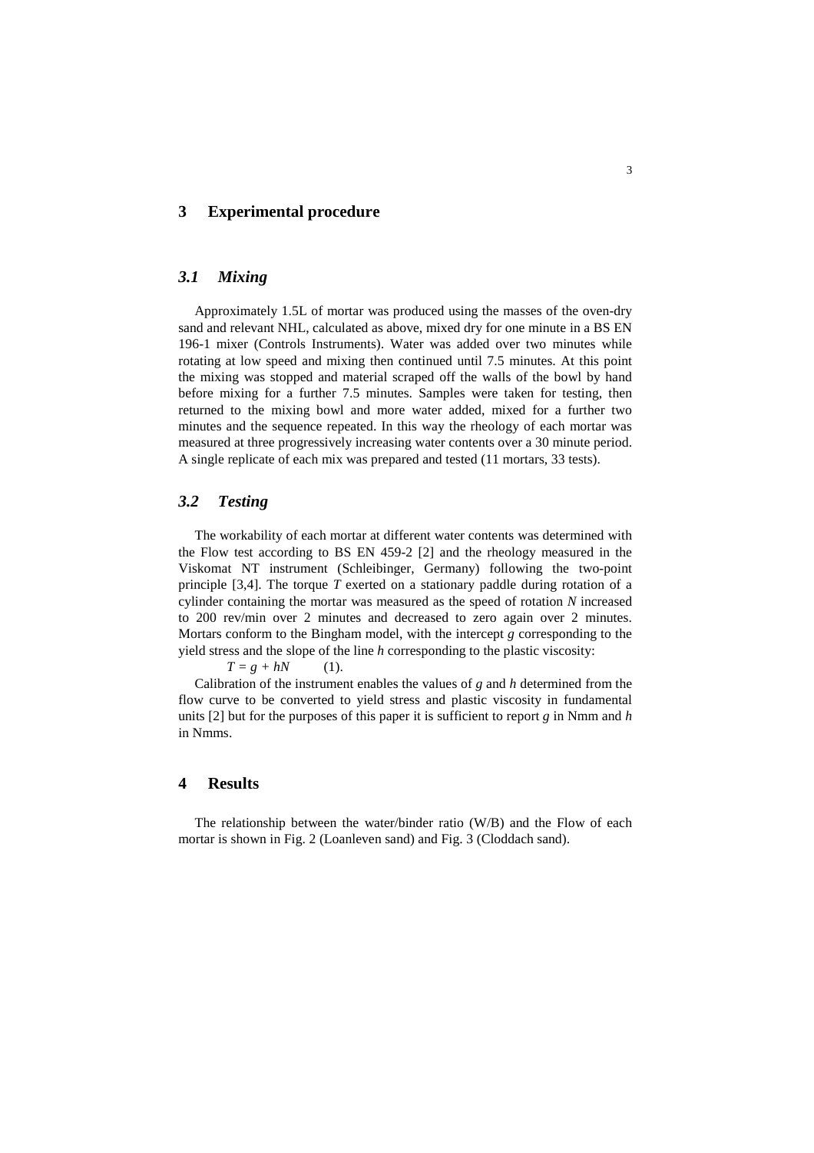## **3 Experimental procedure**

## *3.1 Mixing*

Approximately 1.5L of mortar was produced using the masses of the oven-dry sand and relevant NHL, calculated as above, mixed dry for one minute in a BS EN 196-1 mixer (Controls Instruments). Water was added over two minutes while rotating at low speed and mixing then continued until 7.5 minutes. At this point the mixing was stopped and material scraped off the walls of the bowl by hand before mixing for a further 7.5 minutes. Samples were taken for testing, then returned to the mixing bowl and more water added, mixed for a further two minutes and the sequence repeated. In this way the rheology of each mortar was measured at three progressively increasing water contents over a 30 minute period. A single replicate of each mix was prepared and tested (11 mortars, 33 tests).

#### *3.2 Testing*

The workability of each mortar at different water contents was determined with the Flow test according to BS EN 459-2 [2] and the rheology measured in the Viskomat NT instrument (Schleibinger, Germany) following the two-point principle [3,4]. The torque *T* exerted on a stationary paddle during rotation of a cylinder containing the mortar was measured as the speed of rotation *N* increased to 200 rev/min over 2 minutes and decreased to zero again over 2 minutes. Mortars conform to the Bingham model, with the intercept *g* corresponding to the yield stress and the slope of the line *h* corresponding to the plastic viscosity:

 $T = g + hN$  (1).

Calibration of the instrument enables the values of *g* and *h* determined from the flow curve to be converted to yield stress and plastic viscosity in fundamental units [2] but for the purposes of this paper it is sufficient to report *g* in Nmm and *h* in Nmms.

## **4 Results**

The relationship between the water/binder ratio (W/B) and the Flow of each mortar is shown in Fig. 2 (Loanleven sand) and Fig. 3 (Cloddach sand).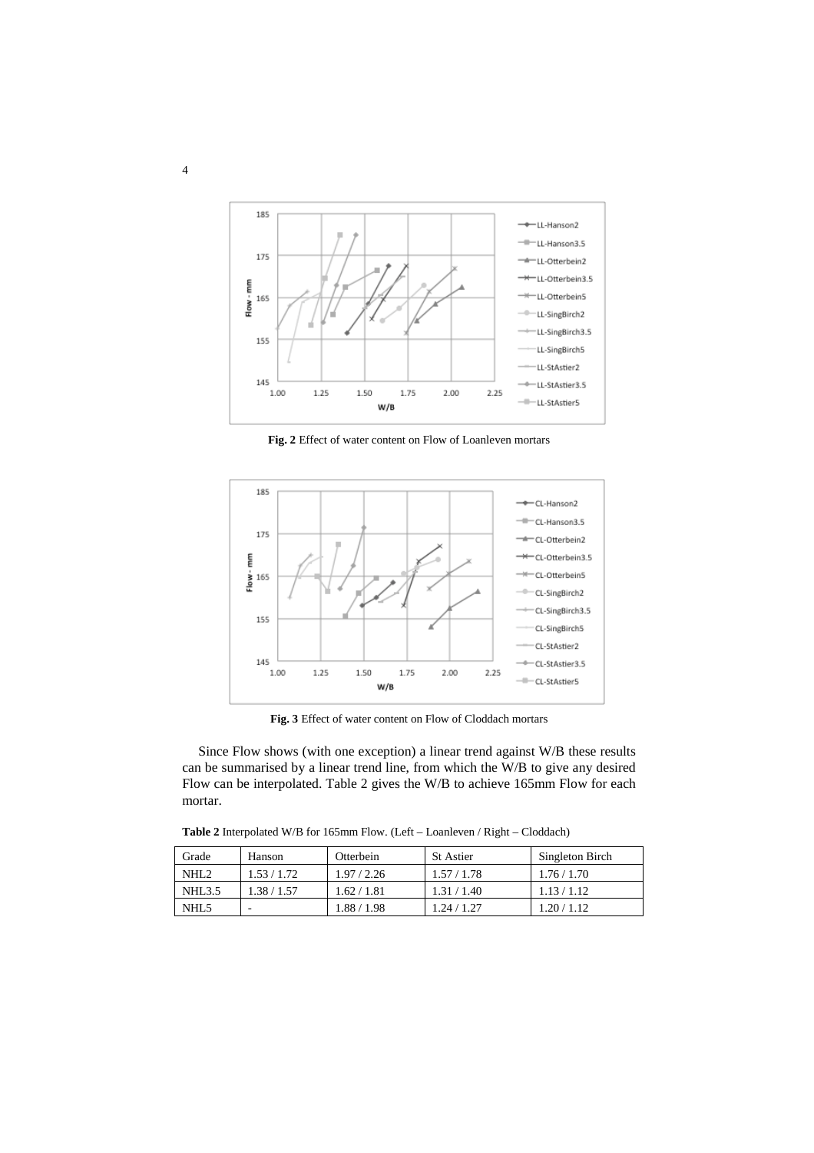

**Fig. 2** Effect of water content on Flow of Loanleven mortars



**Fig. 3** Effect of water content on Flow of Cloddach mortars

Since Flow shows (with one exception) a linear trend against W/B these results can be summarised by a linear trend line, from which the W/B to give any desired Flow can be interpolated. Table 2 gives the W/B to achieve 165mm Flow for each mortar.

**Table 2** Interpolated W/B for 165mm Flow. (Left – Loanleven / Right – Cloddach)

| Grade              | Hanson      | Otterbein   | <b>St Astier</b> | Singleton Birch |
|--------------------|-------------|-------------|------------------|-----------------|
| NHL <sub>2</sub>   | 1.53/1.72   | 1.97/2.26   | 1.57/1.78        | 1.76/1.70       |
| NHL <sub>3.5</sub> | 1.38 / 1.57 | 1.62 / 1.81 | 1.31 / 1.40      | 1.13/1.12       |
| NHL <sub>5</sub>   | -           | 1.88 / 1.98 | 1.24 / 1.27      | 1.20 / 1.12     |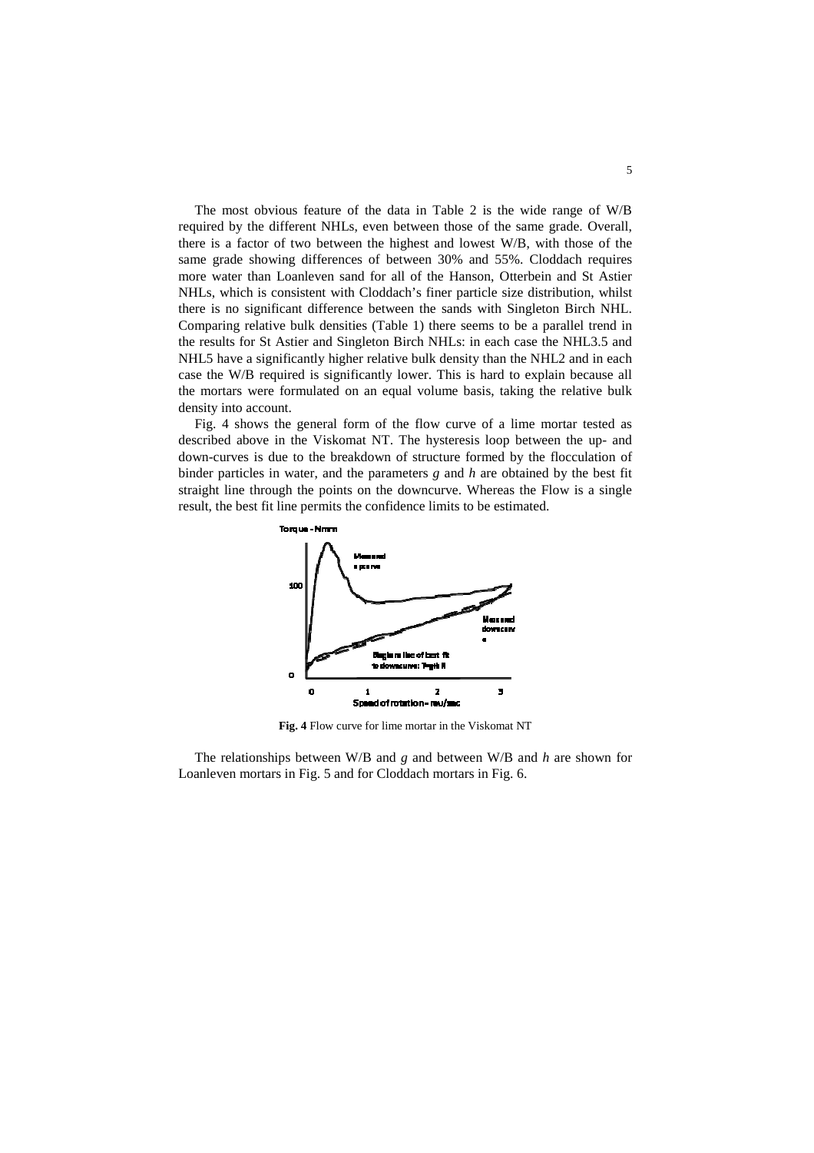The most obvious feature of the data in Table 2 is the wide range of W/B required by the different NHLs, even between those of the same grade. Overall, there is a factor of two between the highest and lowest W/B, with those of the same grade showing differences of between 30% and 55%. Cloddach requires more water than Loanleven sand for all of the Hanson, Otterbein and St Astier NHLs, which is consistent with Cloddach's finer particle size distribution, whilst there is no significant difference between the sands with Singleton Birch NHL. Comparing relative bulk densities (Table 1) there seems to be a parallel trend in the results for St Astier and Singleton Birch NHLs: in each case the NHL3.5 and NHL5 have a significantly higher relative bulk density than the NHL2 and in each case the W/B required is significantly lower. This is hard to explain because all the mortars were formulated on an equal volume basis, taking the relative bulk density into account.

Fig. 4 shows the general form of the flow curve of a lime mortar tested as described above in the Viskomat NT. The hysteresis loop between the up- and down-curves is due to the breakdown of structure formed by the flocculation of binder particles in water, and the parameters *g* and *h* are obtained by the best fit straight line through the points on the downcurve. Whereas the Flow is a single result, the best fit line permits the confidence limits to be estimated.



**Fig. 4** Flow curve for lime mortar in the Viskomat NT

The relationships between W/B and *g* and between W/B and *h* are shown for Loanleven mortars in Fig. 5 and for Cloddach mortars in Fig. 6.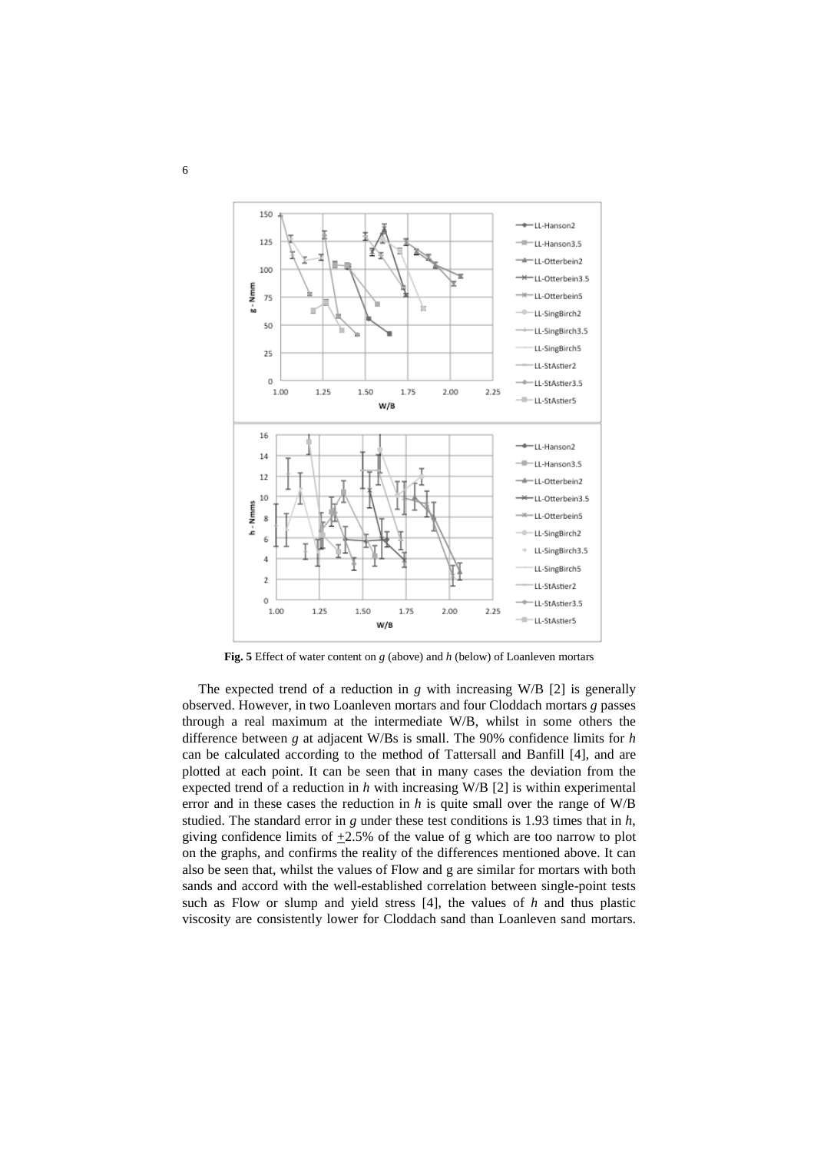

**Fig. 5** Effect of water content on *g* (above) and *h* (below) of Loanleven mortars

The expected trend of a reduction in *g* with increasing W/B [2] is generally observed. However, in two Loanleven mortars and four Cloddach mortars *g* passes through a real maximum at the intermediate W/B, whilst in some others the difference between *g* at adjacent W/Bs is small. The 90% confidence limits for *h*  can be calculated according to the method of Tattersall and Banfill [4], and are plotted at each point. It can be seen that in many cases the deviation from the expected trend of a reduction in *h* with increasing W/B [2] is within experimental error and in these cases the reduction in *h* is quite small over the range of W/B studied. The standard error in *g* under these test conditions is 1.93 times that in *h*, giving confidence limits of  $+2.5\%$  of the value of g which are too narrow to plot on the graphs, and confirms the reality of the differences mentioned above. It can also be seen that, whilst the values of Flow and g are similar for mortars with both sands and accord with the well-established correlation between single-point tests such as Flow or slump and yield stress [4], the values of *h* and thus plastic viscosity are consistently lower for Cloddach sand than Loanleven sand mortars.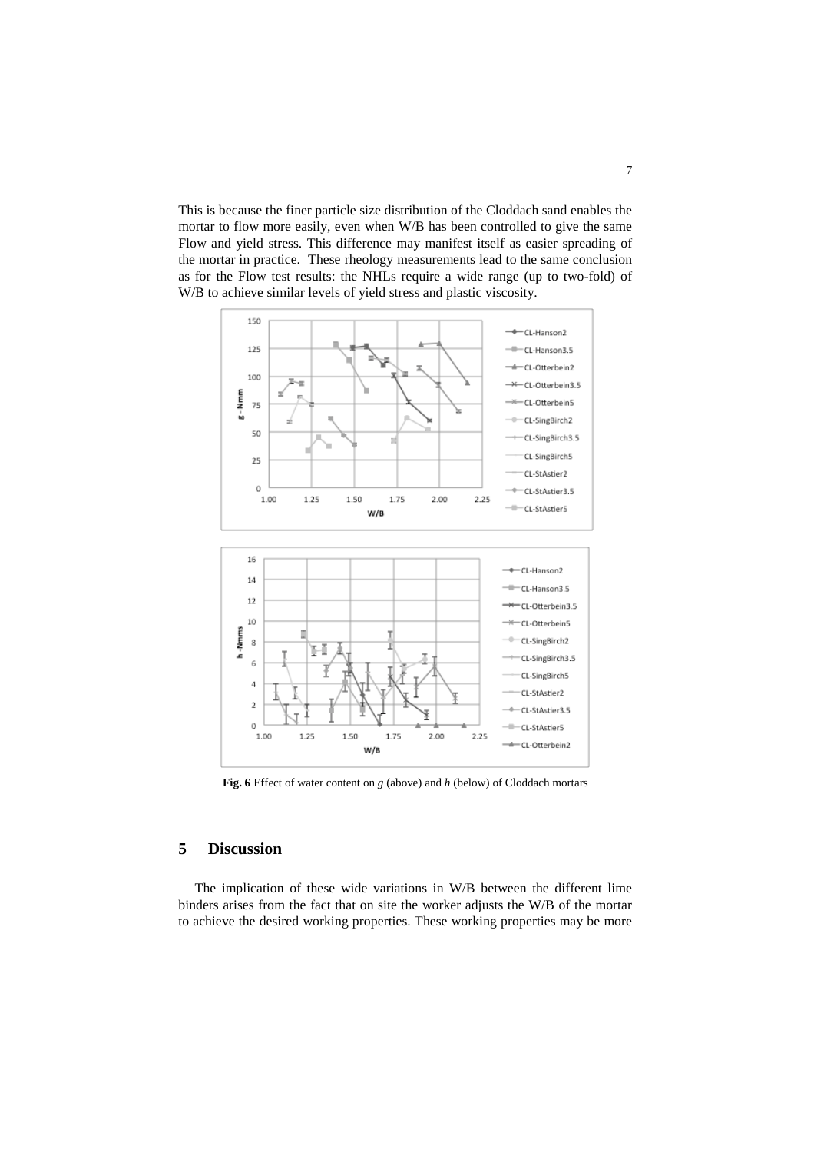This is because the finer particle size distribution of the Cloddach sand enables the mortar to flow more easily, even when W/B has been controlled to give the same Flow and yield stress. This difference may manifest itself as easier spreading of the mortar in practice. These rheology measurements lead to the same conclusion as for the Flow test results: the NHLs require a wide range (up to two-fold) of W/B to achieve similar levels of yield stress and plastic viscosity.



**Fig. 6** Effect of water content on *g* (above) and *h* (below) of Cloddach mortars

## **5 Discussion**

The implication of these wide variations in W/B between the different lime binders arises from the fact that on site the worker adjusts the W/B of the mortar to achieve the desired working properties. These working properties may be more